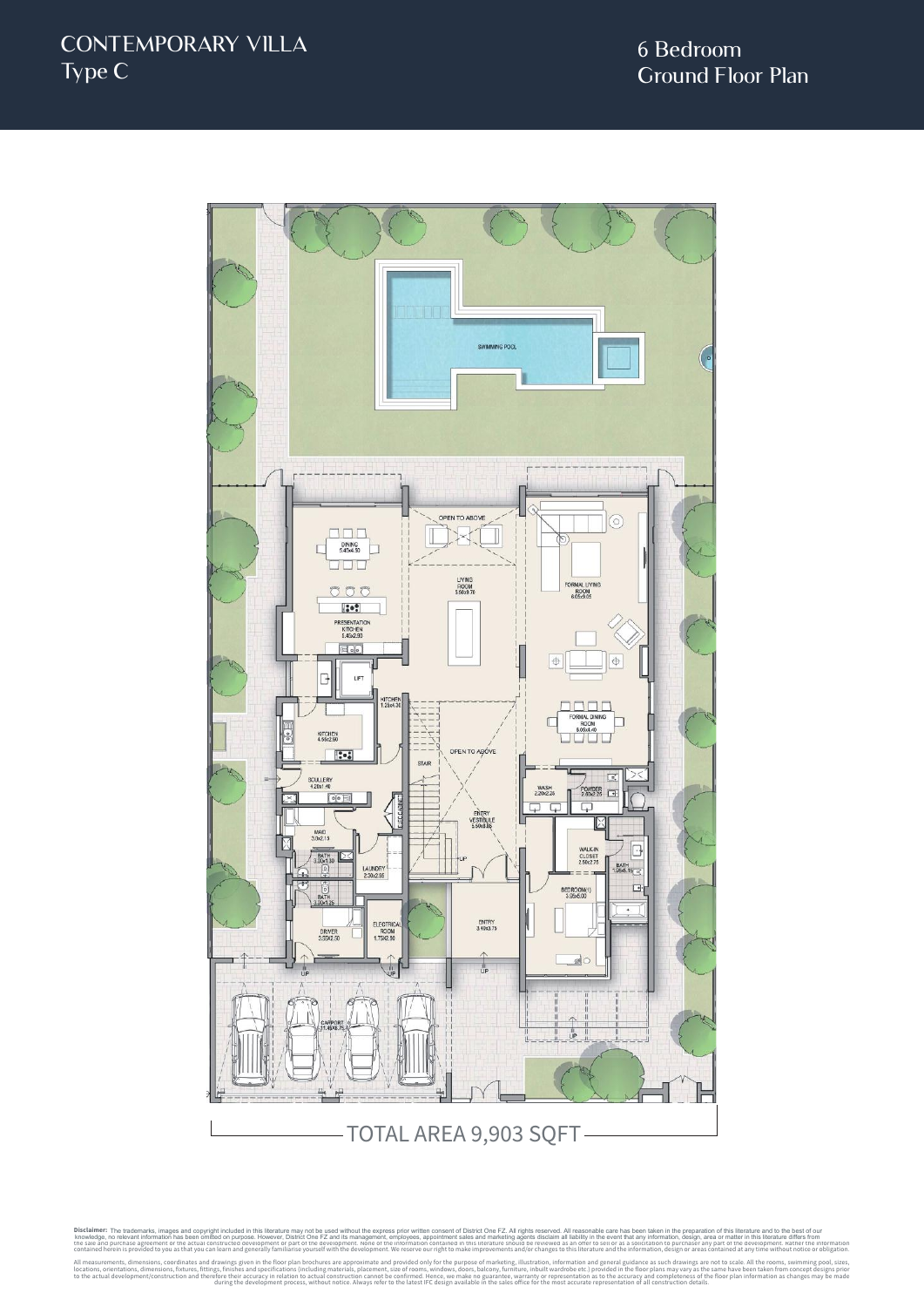

Disclaimer: The trademarks, images and copyright included in this literature may not be used without the express prior written consent of District One FZ. All rights reserved. All reasonable care has been taken in the prep knowledge, no relevant information has been omitted on purpose. However, District One FZ and its management, employese, appointmet sales and marketing agents discussed in the every metally and the every metally and the rev e, no relevant information has been omitted on purpose. However, District One FZ and its management, employees, appointment sales and marketing agent<br>ind purcnase agreement or the actual constructed development or part or All measurements, dimensions, coordinates and drawings given in the floor plan brochures are approximate and provided only for the purpose of marketing, illustration, information and general guidance as such drawings are n The trademarks, images and copyright included in this literature may not be used without the express prior written consent of District One FZ. All rights reserved. All reasonable care has been taken in the preparation of t

during the development process, without notice. Always refer to the latest IFC design available in the sales office for the most accurate representation of all construction details.